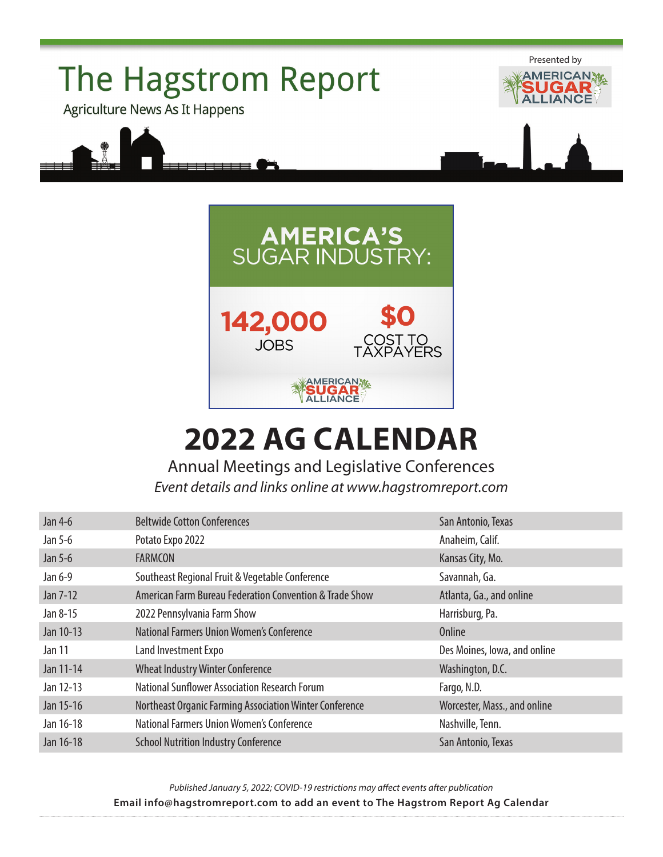



## **2022 AG CALENDAR**

Annual Meetings and Legislative Conferences *Event details and links online at [www.hagstromreport.com](http://www.hagstromreport.com/calendar.html)*

| Jan 4-6   | <b>Beltwide Cotton Conferences</b>                      | San Antonio, Texas           |
|-----------|---------------------------------------------------------|------------------------------|
| Jan 5-6   | Potato Expo 2022                                        | Anaheim, Calif.              |
| Jan 5-6   | <b>FARMCON</b>                                          | Kansas City, Mo.             |
| Jan 6-9   | Southeast Regional Fruit & Vegetable Conference         | Savannah, Ga.                |
| Jan 7-12  | American Farm Bureau Federation Convention & Trade Show | Atlanta, Ga., and online     |
| Jan 8-15  | 2022 Pennsylvania Farm Show                             | Harrisburg, Pa.              |
| Jan 10-13 | National Farmers Union Women's Conference               | Online                       |
| Jan 11    | Land Investment Expo                                    | Des Moines, Iowa, and online |
| Jan 11-14 | <b>Wheat Industry Winter Conference</b>                 | Washington, D.C.             |
| Jan 12-13 | <b>National Sunflower Association Research Forum</b>    | Fargo, N.D.                  |
| Jan 15-16 | Northeast Organic Farming Association Winter Conference | Worcester, Mass., and online |
| Jan 16-18 | National Farmers Union Women's Conference               | Nashville, Tenn.             |
| Jan 16-18 | <b>School Nutrition Industry Conference</b>             | San Antonio, Texas           |

*Published January 5, 2022; COVID-19 restrictions may affect events after publication* **Email [info@hagstromreport.com](mailto:info%40hagstromreport.com?subject=2014%20Ag%20Calendar%20Event) to add an event to The Hagstrom Report Ag Calendar**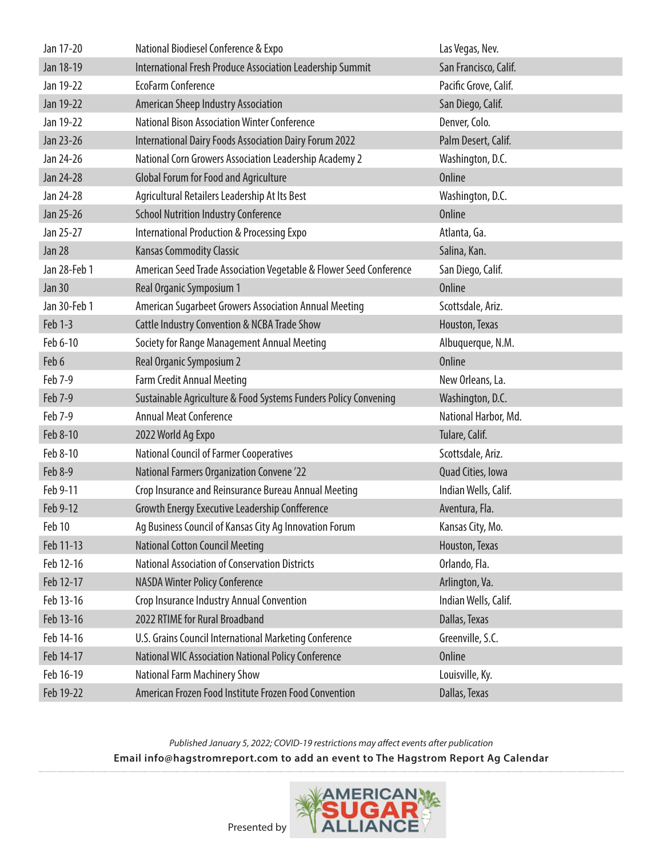| Jan 17-20     | National Biodiesel Conference & Expo                               | Las Vegas, Nev.       |
|---------------|--------------------------------------------------------------------|-----------------------|
| Jan 18-19     | International Fresh Produce Association Leadership Summit          | San Francisco, Calif. |
| Jan 19-22     | <b>EcoFarm Conference</b>                                          | Pacific Grove, Calif. |
| Jan 19-22     | American Sheep Industry Association                                | San Diego, Calif.     |
| Jan 19-22     | <b>National Bison Association Winter Conference</b>                | Denver, Colo.         |
| Jan 23-26     | International Dairy Foods Association Dairy Forum 2022             | Palm Desert, Calif.   |
| Jan 24-26     | National Corn Growers Association Leadership Academy 2             | Washington, D.C.      |
| Jan 24-28     | <b>Global Forum for Food and Agriculture</b>                       | <b>Online</b>         |
| Jan 24-28     | Agricultural Retailers Leadership At Its Best                      | Washington, D.C.      |
| Jan 25-26     | <b>School Nutrition Industry Conference</b>                        | <b>Online</b>         |
| Jan 25-27     | <b>International Production &amp; Processing Expo</b>              | Atlanta, Ga.          |
| Jan 28        | <b>Kansas Commodity Classic</b>                                    | Salina, Kan.          |
| Jan 28-Feb 1  | American Seed Trade Association Vegetable & Flower Seed Conference | San Diego, Calif.     |
| <b>Jan 30</b> | Real Organic Symposium 1                                           | <b>Online</b>         |
| Jan 30-Feb 1  | American Sugarbeet Growers Association Annual Meeting              | Scottsdale, Ariz.     |
| Feb 1-3       | <b>Cattle Industry Convention &amp; NCBA Trade Show</b>            | Houston, Texas        |
| Feb 6-10      | Society for Range Management Annual Meeting                        | Albuquerque, N.M.     |
| Feb 6         | Real Organic Symposium 2                                           | <b>Online</b>         |
|               |                                                                    |                       |
| Feb 7-9       | <b>Farm Credit Annual Meeting</b>                                  | New Orleans, La.      |
| Feb 7-9       | Sustainable Agriculture & Food Systems Funders Policy Convening    | Washington, D.C.      |
| Feb 7-9       | <b>Annual Meat Conference</b>                                      | National Harbor, Md.  |
| Feb 8-10      | 2022 World Ag Expo                                                 | Tulare, Calif.        |
| Feb 8-10      | <b>National Council of Farmer Cooperatives</b>                     | Scottsdale, Ariz.     |
| Feb 8-9       | <b>National Farmers Organization Convene '22</b>                   | Quad Cities, Iowa     |
| Feb 9-11      | Crop Insurance and Reinsurance Bureau Annual Meeting               | Indian Wells, Calif.  |
| Feb 9-12      | Growth Energy Executive Leadership Confference                     | Aventura, Fla.        |
| Feb 10        | Ag Business Council of Kansas City Ag Innovation Forum             | Kansas City, Mo.      |
| Feb 11-13     | <b>National Cotton Council Meeting</b>                             | Houston, Texas        |
| Feb 12-16     | <b>National Association of Conservation Districts</b>              | Orlando, Fla.         |
| Feb 12-17     | <b>NASDA Winter Policy Conference</b>                              | Arlington, Va.        |
| Feb 13-16     | Crop Insurance Industry Annual Convention                          | Indian Wells, Calif.  |
| Feb 13-16     | 2022 RTIME for Rural Broadband                                     | Dallas, Texas         |
| Feb 14-16     | U.S. Grains Council International Marketing Conference             | Greenville, S.C.      |
| Feb 14-17     | National WIC Association National Policy Conference                | <b>Online</b>         |
| Feb 16-19     | <b>National Farm Machinery Show</b>                                | Louisville, Ky.       |

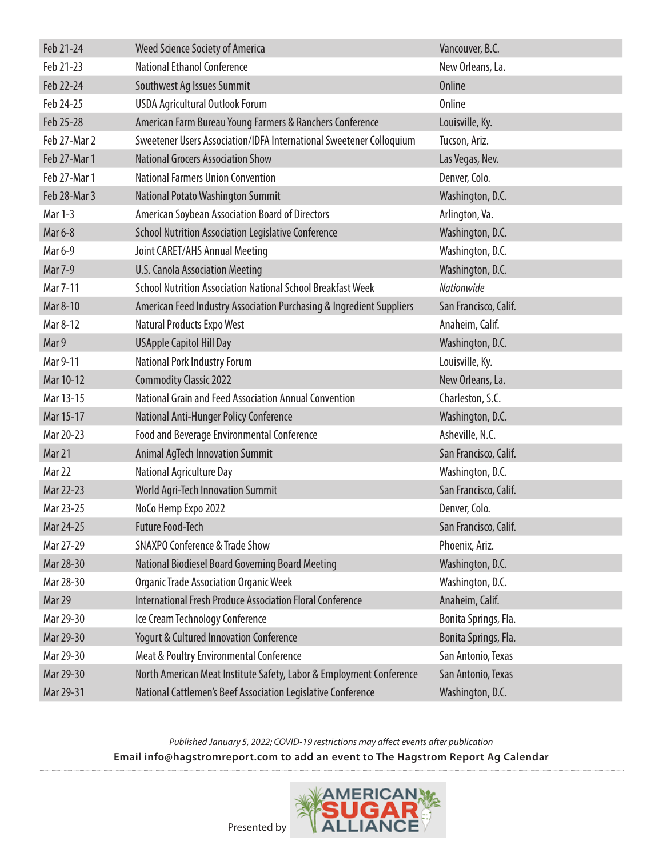| Feb 21-24    | <b>Weed Science Society of America</b>                               | Vancouver, B.C.       |
|--------------|----------------------------------------------------------------------|-----------------------|
| Feb 21-23    | <b>National Ethanol Conference</b>                                   | New Orleans, La.      |
| Feb 22-24    | Southwest Ag Issues Summit                                           | <b>Online</b>         |
| Feb 24-25    | <b>USDA Agricultural Outlook Forum</b>                               | <b>Online</b>         |
| Feb 25-28    | American Farm Bureau Young Farmers & Ranchers Conference             | Louisville, Ky.       |
| Feb 27-Mar 2 | Sweetener Users Association/IDFA International Sweetener Colloquium  | Tucson, Ariz.         |
| Feb 27-Mar 1 | <b>National Grocers Association Show</b>                             | Las Vegas, Nev.       |
| Feb 27-Mar 1 | <b>National Farmers Union Convention</b>                             | Denver, Colo.         |
| Feb 28-Mar 3 | National Potato Washington Summit                                    | Washington, D.C.      |
| Mar 1-3      | American Soybean Association Board of Directors                      | Arlington, Va.        |
| Mar 6-8      | <b>School Nutrition Association Legislative Conference</b>           | Washington, D.C.      |
| Mar 6-9      | Joint CARET/AHS Annual Meeting                                       | Washington, D.C.      |
| Mar 7-9      | <b>U.S. Canola Association Meeting</b>                               | Washington, D.C.      |
| Mar 7-11     | <b>School Nutrition Association National School Breakfast Week</b>   | <b>Nationwide</b>     |
| Mar 8-10     | American Feed Industry Association Purchasing & Ingredient Suppliers | San Francisco, Calif. |
| Mar 8-12     | Natural Products Expo West                                           | Anaheim, Calif.       |
| Mar 9        | <b>USApple Capitol Hill Day</b>                                      | Washington, D.C.      |
| Mar 9-11     | National Pork Industry Forum                                         | Louisville, Ky.       |
| Mar 10-12    | <b>Commodity Classic 2022</b>                                        | New Orleans, La.      |
| Mar 13-15    | National Grain and Feed Association Annual Convention                | Charleston, S.C.      |
| Mar 15-17    | National Anti-Hunger Policy Conference                               | Washington, D.C.      |
| Mar 20-23    | Food and Beverage Environmental Conference                           | Asheville, N.C.       |
| Mar 21       | <b>Animal AgTech Innovation Summit</b>                               | San Francisco, Calif. |
| Mar 22       | National Agriculture Day                                             | Washington, D.C.      |
| Mar 22-23    | <b>World Agri-Tech Innovation Summit</b>                             | San Francisco, Calif. |
| Mar 23-25    | NoCo Hemp Expo 2022                                                  | Denver, Colo.         |
| Mar 24-25    | <b>Future Food-Tech</b>                                              | San Francisco, Calif. |
| Mar 27-29    | <b>SNAXPO Conference &amp; Trade Show</b>                            | Phoenix, Ariz.        |
| Mar 28-30    | National Biodiesel Board Governing Board Meeting                     | Washington, D.C.      |
| Mar 28-30    | <b>Organic Trade Association Organic Week</b>                        | Washington, D.C.      |
| Mar 29       | <b>International Fresh Produce Association Floral Conference</b>     | Anaheim, Calif.       |
| Mar 29-30    | Ice Cream Technology Conference                                      | Bonita Springs, Fla.  |
| Mar 29-30    | <b>Yogurt &amp; Cultured Innovation Conference</b>                   | Bonita Springs, Fla.  |
| Mar 29-30    | Meat & Poultry Environmental Conference                              | San Antonio, Texas    |
| Mar 29-30    | North American Meat Institute Safety, Labor & Employment Conference  | San Antonio, Texas    |
| Mar 29-31    | National Cattlemen's Beef Association Legislative Conference         | Washington, D.C.      |



Presented by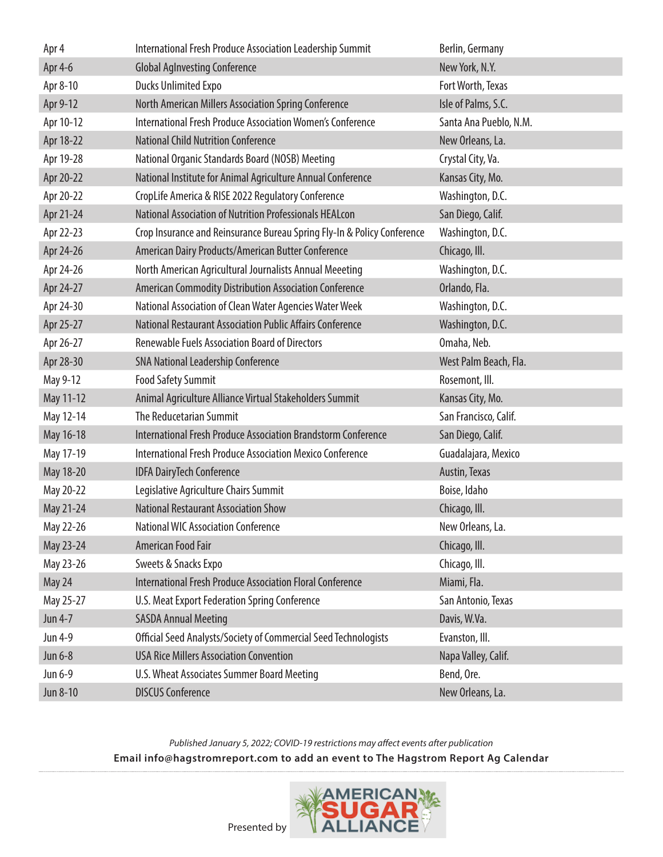| Apr 4     | International Fresh Produce Association Leadership Summit               | Berlin, Germany        |
|-----------|-------------------------------------------------------------------------|------------------------|
| Apr 4-6   | <b>Global Aglnvesting Conference</b>                                    | New York, N.Y.         |
| Apr 8-10  | <b>Ducks Unlimited Expo</b>                                             | Fort Worth, Texas      |
| Apr 9-12  | North American Millers Association Spring Conference                    | Isle of Palms, S.C.    |
| Apr 10-12 | <b>International Fresh Produce Association Women's Conference</b>       | Santa Ana Pueblo, N.M. |
| Apr 18-22 | <b>National Child Nutrition Conference</b>                              | New Orleans, La.       |
| Apr 19-28 | National Organic Standards Board (NOSB) Meeting                         | Crystal City, Va.      |
| Apr 20-22 | National Institute for Animal Agriculture Annual Conference             | Kansas City, Mo.       |
| Apr 20-22 | CropLife America & RISE 2022 Regulatory Conference                      | Washington, D.C.       |
| Apr 21-24 | National Association of Nutrition Professionals HEALcon                 | San Diego, Calif.      |
| Apr 22-23 | Crop Insurance and Reinsurance Bureau Spring Fly-In & Policy Conference | Washington, D.C.       |
| Apr 24-26 | American Dairy Products/American Butter Conference                      | Chicago, III.          |
| Apr 24-26 | North American Agricultural Journalists Annual Meeeting                 | Washington, D.C.       |
| Apr 24-27 | American Commodity Distribution Association Conference                  | Orlando, Fla.          |
| Apr 24-30 | National Association of Clean Water Agencies Water Week                 | Washington, D.C.       |
| Apr 25-27 | National Restaurant Association Public Affairs Conference               | Washington, D.C.       |
| Apr 26-27 | <b>Renewable Fuels Association Board of Directors</b>                   | Omaha, Neb.            |
| Apr 28-30 | <b>SNA National Leadership Conference</b>                               | West Palm Beach, Fla.  |
| May 9-12  | <b>Food Safety Summit</b>                                               | Rosemont, III.         |
|           |                                                                         |                        |
| May 11-12 | Animal Agriculture Alliance Virtual Stakeholders Summit                 | Kansas City, Mo.       |
| May 12-14 | The Reducetarian Summit                                                 | San Francisco, Calif.  |
| May 16-18 | <b>International Fresh Produce Association Brandstorm Conference</b>    | San Diego, Calif.      |
| May 17-19 | <b>International Fresh Produce Association Mexico Conference</b>        | Guadalajara, Mexico    |
| May 18-20 | <b>IDFA DairyTech Conference</b>                                        | Austin, Texas          |
| May 20-22 | Legislative Agriculture Chairs Summit                                   | Boise, Idaho           |
| May 21-24 | <b>National Restaurant Association Show</b>                             | Chicago, III.          |
| May 22-26 | <b>National WIC Association Conference</b>                              | New Orleans, La.       |
| May 23-24 | American Food Fair                                                      | Chicago, III.          |
| May 23-26 | Sweets & Snacks Expo                                                    | Chicago, III.          |
| May 24    | International Fresh Produce Association Floral Conference               | Miami, Fla.            |
| May 25-27 | U.S. Meat Export Federation Spring Conference                           | San Antonio, Texas     |
| Jun 4-7   | <b>SASDA Annual Meeting</b>                                             | Davis, W.Va.           |
| Jun 4-9   | Official Seed Analysts/Society of Commercial Seed Technologists         | Evanston, III.         |
| Jun 6-8   | <b>USA Rice Millers Association Convention</b>                          | Napa Valley, Calif.    |
| Jun 6-9   | U.S. Wheat Associates Summer Board Meeting                              | Bend, Ore.             |

*Published January 5, 2022; COVID-19 restrictions may affect events after publication*

**Email [info@hagstromreport.com](mailto:info%40hagstromreport.com?subject=2014%20Ag%20Calendar%20Event) to add an event to The Hagstrom Report Ag Calendar**

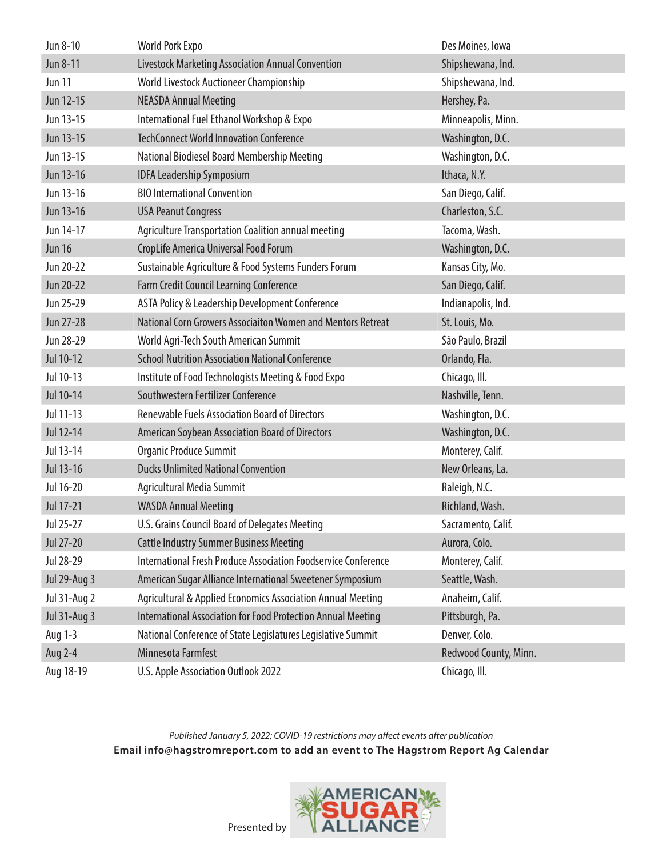| Jun 8-10            | <b>World Pork Expo</b>                                                | Des Moines, Iowa      |
|---------------------|-----------------------------------------------------------------------|-----------------------|
| Jun 8-11            | Livestock Marketing Association Annual Convention                     | Shipshewana, Ind.     |
| <b>Jun 11</b>       | World Livestock Auctioneer Championship                               | Shipshewana, Ind.     |
| Jun 12-15           | <b>NEASDA Annual Meeting</b>                                          | Hershey, Pa.          |
| Jun 13-15           | International Fuel Ethanol Workshop & Expo                            | Minneapolis, Minn.    |
| Jun 13-15           | <b>TechConnect World Innovation Conference</b>                        | Washington, D.C.      |
| Jun 13-15           | National Biodiesel Board Membership Meeting                           | Washington, D.C.      |
| Jun 13-16           | <b>IDFA Leadership Symposium</b>                                      | Ithaca, N.Y.          |
| Jun 13-16           | <b>BIO International Convention</b>                                   | San Diego, Calif.     |
| Jun 13-16           | <b>USA Peanut Congress</b>                                            | Charleston, S.C.      |
| Jun 14-17           | Agriculture Transportation Coalition annual meeting                   | Tacoma, Wash.         |
| <b>Jun 16</b>       | CropLife America Universal Food Forum                                 | Washington, D.C.      |
| Jun 20-22           | Sustainable Agriculture & Food Systems Funders Forum                  | Kansas City, Mo.      |
| Jun 20-22           | Farm Credit Council Learning Conference                               | San Diego, Calif.     |
| Jun 25-29           | ASTA Policy & Leadership Development Conference                       | Indianapolis, Ind.    |
| Jun 27-28           | National Corn Growers Associaiton Women and Mentors Retreat           | St. Louis, Mo.        |
| Jun 28-29           | World Agri-Tech South American Summit                                 | São Paulo, Brazil     |
| Jul 10-12           | <b>School Nutrition Association National Conference</b>               | Orlando, Fla.         |
| Jul 10-13           | Institute of Food Technologists Meeting & Food Expo                   | Chicago, Ill.         |
| Jul 10-14           | Southwestern Fertilizer Conference                                    | Nashville, Tenn.      |
| Jul 11-13           | <b>Renewable Fuels Association Board of Directors</b>                 | Washington, D.C.      |
| Jul 12-14           | American Soybean Association Board of Directors                       | Washington, D.C.      |
| Jul 13-14           | Organic Produce Summit                                                | Monterey, Calif.      |
| Jul 13-16           | <b>Ducks Unlimited National Convention</b>                            | New Orleans, La.      |
| Jul 16-20           | Agricultural Media Summit                                             | Raleigh, N.C.         |
| Jul 17-21           | <b>WASDA Annual Meeting</b>                                           | Richland, Wash.       |
| Jul 25-27           | U.S. Grains Council Board of Delegates Meeting                        | Sacramento, Calif.    |
| Jul 27-20           | <b>Cattle Industry Summer Business Meeting</b>                        | Aurora, Colo.         |
| Jul 28-29           | <b>International Fresh Produce Association Foodservice Conference</b> | Monterey, Calif.      |
| <b>Jul 29-Aug 3</b> | American Sugar Alliance International Sweetener Symposium             | Seattle, Wash.        |
| <b>Jul 31-Aug 2</b> | Agricultural & Applied Economics Association Annual Meeting           | Anaheim, Calif.       |
| <b>Jul 31-Aug 3</b> | International Association for Food Protection Annual Meeting          | Pittsburgh, Pa.       |
| Aug 1-3             | National Conference of State Legislatures Legislative Summit          | Denver, Colo.         |
| Aug 2-4             | Minnesota Farmfest                                                    | Redwood County, Minn. |
| Aug 18-19           | U.S. Apple Association Outlook 2022                                   | Chicago, Ill.         |



[Presented by](https://sugaralliance.org/)